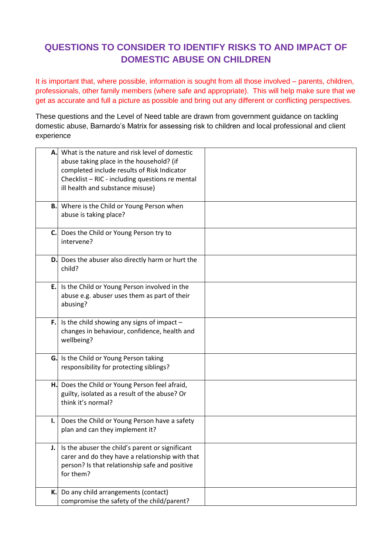## **QUESTIONS TO CONSIDER TO IDENTIFY RISKS TO AND IMPACT OF DOMESTIC ABUSE ON CHILDREN**

It is important that, where possible, information is sought from all those involved – parents, children, professionals, other family members (where safe and appropriate). This will help make sure that we get as accurate and full a picture as possible and bring out any different or conflicting perspectives.

These questions and the Level of Need table are drawn from government guidance on tackling domestic abuse, Barnardo's Matrix for assessing risk to children and local professional and client experience

| Α. | What is the nature and risk level of domestic<br>abuse taking place in the household? (if<br>completed include results of Risk Indicator<br>Checklist - RIC - including questions re mental<br>ill health and substance misuse) |  |
|----|---------------------------------------------------------------------------------------------------------------------------------------------------------------------------------------------------------------------------------|--|
|    | <b>B.</b> Where is the Child or Young Person when<br>abuse is taking place?                                                                                                                                                     |  |
| C. | Does the Child or Young Person try to<br>intervene?                                                                                                                                                                             |  |
| D. | Does the abuser also directly harm or hurt the<br>child?                                                                                                                                                                        |  |
| E. | Is the Child or Young Person involved in the<br>abuse e.g. abuser uses them as part of their<br>abusing?                                                                                                                        |  |
| F. | Is the child showing any signs of impact -<br>changes in behaviour, confidence, health and<br>wellbeing?                                                                                                                        |  |
| G. | Is the Child or Young Person taking<br>responsibility for protecting siblings?                                                                                                                                                  |  |
| н. | Does the Child or Young Person feel afraid,<br>guilty, isolated as a result of the abuse? Or<br>think it's normal?                                                                                                              |  |
| ı. | Does the Child or Young Person have a safety<br>plan and can they implement it?                                                                                                                                                 |  |
| J. | Is the abuser the child's parent or significant<br>carer and do they have a relationship with that<br>person? Is that relationship safe and positive<br>for them?                                                               |  |
| К. | Do any child arrangements (contact)<br>compromise the safety of the child/parent?                                                                                                                                               |  |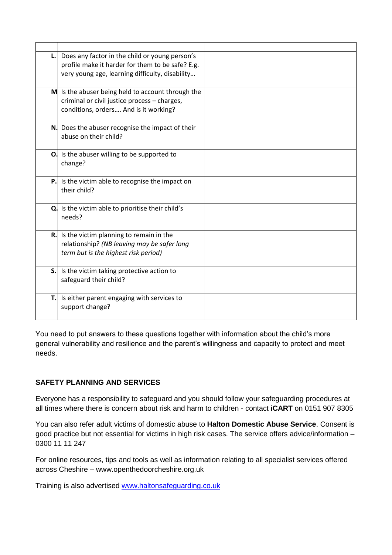| L. | Does any factor in the child or young person's<br>profile make it harder for them to be safe? E.g.<br>very young age, learning difficulty, disability |  |
|----|-------------------------------------------------------------------------------------------------------------------------------------------------------|--|
|    | M Is the abuser being held to account through the<br>criminal or civil justice process - charges,<br>conditions, orders And is it working?            |  |
|    | N. Does the abuser recognise the impact of their<br>abuse on their child?                                                                             |  |
|    | O. Is the abuser willing to be supported to<br>change?                                                                                                |  |
|    | <b>P.</b> Is the victim able to recognise the impact on<br>their child?                                                                               |  |
|    | Q. Is the victim able to prioritise their child's<br>needs?                                                                                           |  |
|    | <b>R.</b> Is the victim planning to remain in the<br>relationship? (NB leaving may be safer long<br>term but is the highest risk period)              |  |
|    | <b>S.</b> Is the victim taking protective action to<br>safeguard their child?                                                                         |  |
|    | T. Is either parent engaging with services to<br>support change?                                                                                      |  |

You need to put answers to these questions together with information about the child's more general vulnerability and resilience and the parent's willingness and capacity to protect and meet needs.

## **SAFETY PLANNING AND SERVICES**

Everyone has a responsibility to safeguard and you should follow your safeguarding procedures at all times where there is concern about risk and harm to children - contact **iCART** on 0151 907 8305

You can also refer adult victims of domestic abuse to **Halton Domestic Abuse Service**. Consent is good practice but not essential for victims in high risk cases. The service offers advice/information – 0300 11 11 247

For online resources, tips and tools as well as information relating to all specialist services offered across Cheshire – www.openthedoorcheshire.org.uk

Training is also advertised [www.haltonsafeguarding.co.uk](http://www.haltonsafeguarding.co.uk/)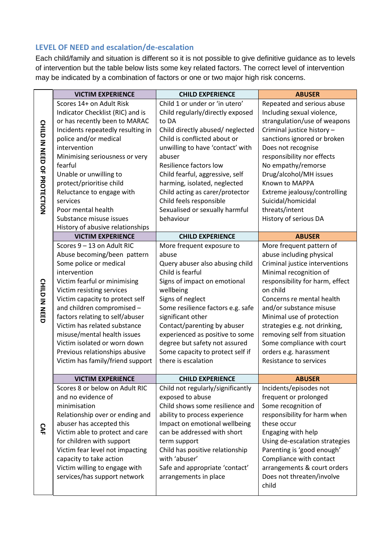## **LEVEL OF NEED and escalation/de-escalation**

Each child/family and situation is different so it is not possible to give definitive guidance as to levels of intervention but the table below lists some key related factors. The correct level of intervention may be indicated by a combination of factors or one or two major high risk concerns.

|                             | <b>VICTIM EXPERIENCE</b>          | <b>CHILD EXPERIENCE</b>           | <b>ABUSER</b>                   |
|-----------------------------|-----------------------------------|-----------------------------------|---------------------------------|
| CHILD IN NEED OF PROTECTION | Scores 14+ on Adult Risk          | Child 1 or under or 'in utero'    | Repeated and serious abuse      |
|                             | Indicator Checklist (RIC) and is  | Child regularly/directly exposed  | Including sexual violence,      |
|                             | or has recently been to MARAC     | to DA                             | strangulation/use of weapons    |
|                             | Incidents repeatedly resulting in | Child directly abused/neglected   | Criminal justice history -      |
|                             | police and/or medical             | Child is conflicted about or      | sanctions ignored or broken     |
|                             | intervention                      | unwilling to have 'contact' with  | Does not recognise              |
|                             | Minimising seriousness or very    | abuser                            | responsibility nor effects      |
|                             | fearful                           | Resilience factors low            | No empathy/remorse              |
|                             | Unable or unwilling to            | Child fearful, aggressive, self   | Drug/alcohol/MH issues          |
|                             | protect/prioritise child          | harming, isolated, neglected      | Known to MAPPA                  |
|                             | Reluctance to engage with         | Child acting as carer/protector   | Extreme jealousy/controlling    |
|                             | services                          | Child feels responsible           | Suicidal/homicidal              |
|                             | Poor mental health                | Sexualised or sexually harmful    | threats/intent                  |
|                             | Substance misuse issues           | behaviour                         | History of serious DA           |
|                             | History of abusive relationships  |                                   |                                 |
| <b>CHILD IN NEED</b>        | <b>VICTIM EXPERIENCE</b>          | <b>CHILD EXPERIENCE</b>           | <b>ABUSER</b>                   |
|                             | Scores 9-13 on Adult RIC          | More frequent exposure to         | More frequent pattern of        |
|                             | Abuse becoming/been pattern       | abuse                             | abuse including physical        |
|                             | Some police or medical            | Query abuser also abusing child   | Criminal justice interventions  |
|                             | intervention                      | Child is fearful                  | Minimal recognition of          |
|                             | Victim fearful or minimising      | Signs of impact on emotional      | responsibility for harm, effect |
|                             | Victim resisting services         | wellbeing                         | on child                        |
|                             | Victim capacity to protect self   | Signs of neglect                  | Concerns re mental health       |
|                             | and children compromised -        | Some resilience factors e.g. safe | and/or substance misuse         |
|                             | factors relating to self/abuser   | significant other                 | Minimal use of protection       |
|                             | Victim has related substance      | Contact/parenting by abuser       | strategies e.g. not drinking,   |
|                             | misuse/mental health issues       | experienced as positive to some   | removing self from situation    |
|                             | Victim isolated or worn down      | degree but safety not assured     | Some compliance with court      |
|                             | Previous relationships abusive    | Some capacity to protect self if  | orders e.g. harassment          |
|                             | Victim has family/friend support  | there is escalation               | <b>Resistance to services</b>   |
|                             |                                   |                                   |                                 |
|                             | <b>VICTIM EXPERIENCE</b>          | <b>CHILD EXPERIENCE</b>           | <b>ABUSER</b>                   |
|                             | Scores 8 or below on Adult RIC    | Child not regularly/significantly | Incidents/episodes not          |
|                             | and no evidence of                | exposed to abuse                  | frequent or prolonged           |
|                             | minimisation                      | Child shows some resilience and   | Some recognition of             |
|                             | Relationship over or ending and   | ability to process experience     | responsibility for harm when    |
| Š                           | abuser has accepted this          | Impact on emotional wellbeing     | these occur                     |
|                             | Victim able to protect and care   | can be addressed with short       | Engaging with help              |
|                             | for children with support         | term support                      | Using de-escalation strategies  |
|                             | Victim fear level not impacting   | Child has positive relationship   | Parenting is 'good enough'      |
|                             | capacity to take action           | with 'abuser'                     | Compliance with contact         |
|                             | Victim willing to engage with     | Safe and appropriate 'contact'    | arrangements & court orders     |
|                             | services/has support network      | arrangements in place             | Does not threaten/involve       |
|                             |                                   |                                   | child                           |